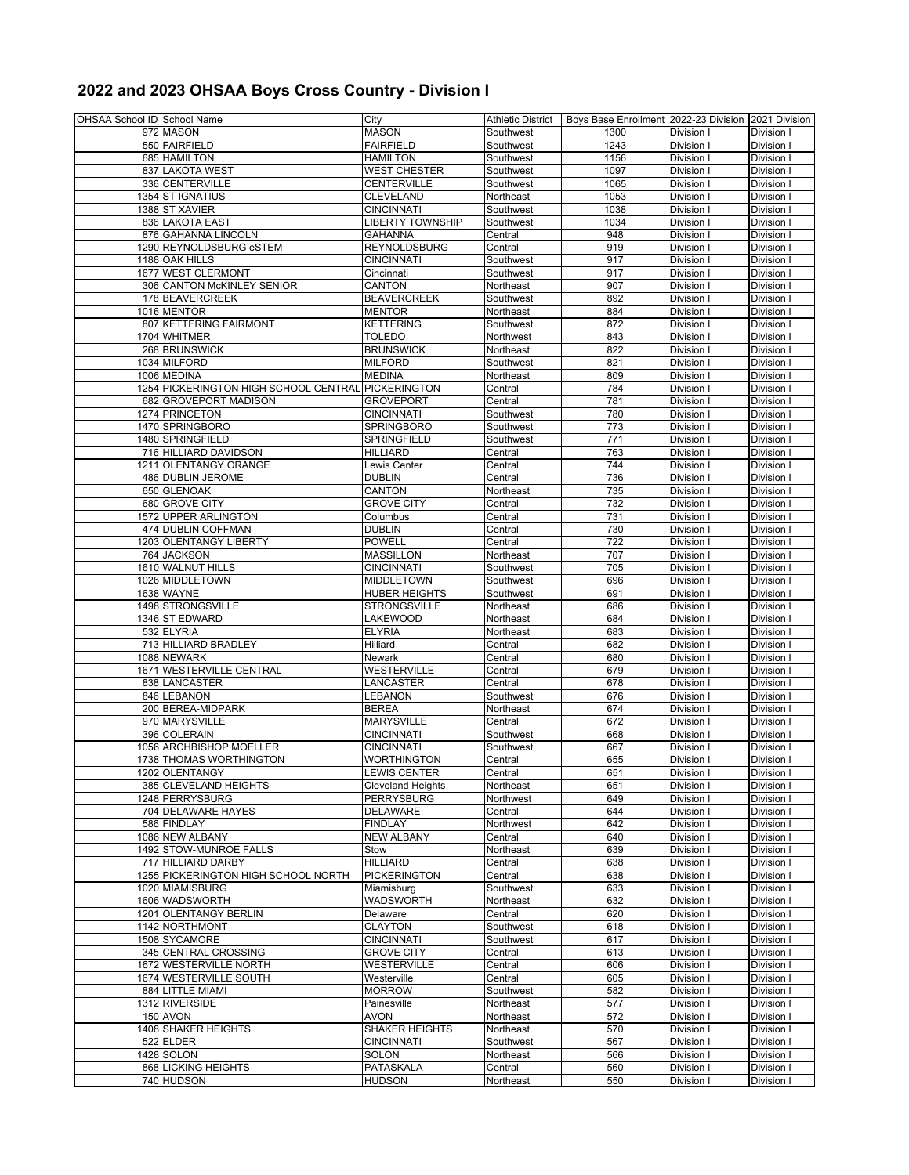## **2022 and 2023 OHSAA Boys Cross Country - Division I**

| OHSAA School ID School Name |                                                    | City                     | Athletic District      | Boys Base Enrollment 2022-23 Division 2021 Division |                 |            |
|-----------------------------|----------------------------------------------------|--------------------------|------------------------|-----------------------------------------------------|-----------------|------------|
|                             | 972 MASON                                          | <b>MASON</b>             | Southwest              | 1300                                                | Division I      | Division I |
|                             | 550 FAIRFIELD                                      | <b>FAIRFIELD</b>         | Southwest              | 1243                                                | Division I      | Division I |
|                             | 685 HAMILTON                                       | HAMILTON                 | Southwest              | 1156                                                | Division I      | Division I |
|                             | 837 LAKOTA WEST                                    | <b>WEST CHESTER</b>      | Southwest              | 1097                                                | Division I      | Division I |
|                             | 336 CENTERVILLE                                    | CENTERVILLE              | Southwest              | 1065                                                | Division        | Division I |
|                             | <b>1354 ST IGNATIUS</b>                            | <b>CLEVELAND</b>         | Northeast              | 1053                                                | Division I      | Division I |
|                             | 1388 ST XAVIER                                     | <b>CINCINNATI</b>        | Southwest              | 1038                                                | Division I      | Division I |
|                             | 836 LAKOTA EAST                                    | <b>LIBERTY TOWNSHIP</b>  | Southwest              | 1034                                                | Division I      | Division I |
|                             | 876 GAHANNA LINCOLN                                | GAHANNA                  | Central                | 948                                                 | Division I      | Division I |
|                             | 1290 REYNOLDSBURG eSTEM                            | <b>REYNOLDSBURG</b>      | Central                | 919                                                 | Division I      | Division I |
|                             | 1188 OAK HILLS                                     | <b>CINCINNATI</b>        | Southwest              | 917                                                 | Division        | Division I |
|                             | 1677 WEST CLERMONT                                 | Cincinnati               | Southwest              | 917                                                 | Division        | Division   |
|                             | 306 CANTON McKINLEY SENIOR                         | CANTON                   | Northeast              | 907                                                 | Division        | Division I |
|                             | 178 BEAVERCREEK                                    | <b>BEAVERCREEK</b>       | Southwest              | 892                                                 | Division        | Division I |
|                             | 1016 MENTOR                                        | <b>MENTOR</b>            | Northeast              | 884                                                 | Division I      | Division I |
|                             | 807 KETTERING FAIRMONT                             | <b>KETTERING</b>         |                        | 872                                                 | Division I      | Division I |
|                             | 1704 WHITMER                                       | TOLEDO                   | Southwest<br>Northwest | 843                                                 | Division I      | Division I |
|                             |                                                    |                          |                        |                                                     |                 |            |
|                             | 268 BRUNSWICK                                      | <b>BRUNSWICK</b>         | Northeast              | 822                                                 | Division I      | Division I |
|                             | 1034 MILFORD                                       | <b>MILFORD</b>           | Southwest              | 821                                                 | Division I      | Division I |
|                             | 1006 MEDINA                                        | <b>MEDINA</b>            | Northeast              | 809                                                 | Division        | Division I |
|                             | 1254 PICKERINGTON HIGH SCHOOL CENTRAL PICKERINGTON |                          | Central                | 784                                                 | Division        | Division I |
|                             | 682 GROVEPORT MADISON                              | <b>GROVEPORT</b>         | Central                | 781                                                 | Division        | Division I |
|                             | 1274 PRINCETON                                     | <b>CINCINNATI</b>        | Southwest              | 780                                                 | Division I      | Division I |
|                             | 1470 SPRINGBORO                                    | <b>SPRINGBORO</b>        | Southwest              | 773                                                 | <b>Division</b> | Division I |
|                             | 1480 SPRINGFIELD                                   | SPRINGFIELD              | Southwest              | 771                                                 | Division I      | Division I |
|                             | 716 HILLIARD DAVIDSON                              | <b>HILLIARD</b>          | Central                | 763                                                 | Division I      | Division I |
|                             | 1211 OLENTANGY ORANGE                              | Lewis Center             | Central                | 744                                                 | Division        | Division I |
|                             | 486 DUBLIN JEROME                                  | <b>DUBLIN</b>            | Central                | 736                                                 | Division        | Division I |
|                             | 650 GLENOAK                                        | CANTON                   | Northeast              | 735                                                 | Division        | Division I |
|                             | 680 GROVE CITY                                     | <b>GROVE CITY</b>        | Central                | 732                                                 | Division        | Division I |
|                             | 1572 UPPER ARLINGTON                               | Columbus                 | Central                | 731                                                 | Division I      | Division I |
|                             | 474 DUBLIN COFFMAN                                 | <b>DUBLIN</b>            | Central                | 730                                                 | Division        | Division I |
|                             | 1203 OLENTANGY LIBERTY                             | <b>POWELL</b>            | Central                | 722                                                 | Division I      | Division I |
|                             | 764 JACKSON                                        | <b>MASSILLON</b>         | Northeast              | 707                                                 | Division I      | Division I |
|                             | 1610 WALNUT HILLS                                  | <b>CINCINNATI</b>        | Southwest              | 705                                                 | Division I      | Division I |
|                             | 1026 MIDDLETOWN                                    | <b>MIDDLETOWN</b>        | Southwest              | 696                                                 | Division        | Division I |
|                             | <b>1638 WAYNE</b>                                  | HUBER HEIGHTS            | Southwest              | 691                                                 | Division        | Division   |
|                             | 1498 STRONGSVILLE                                  | <b>STRONGSVILLE</b>      | Northeast              | 686                                                 | Division        | Division I |
|                             | 1346 ST EDWARD                                     | LAKEWOOD                 | Northeast              | 684                                                 | Division        | Division I |
|                             | 532 ELYRIA                                         | <b>ELYRIA</b>            | Northeast              | 683                                                 | Division I      | Division I |
|                             | 713 HILLIARD BRADLEY                               | Hilliard                 | Central                | 682                                                 | Division I      | Division I |
|                             | 1088 NEWARK                                        | Newark                   | Central                | 680                                                 | Division I      | Division I |
|                             | 1671 WESTERVILLE CENTRAL                           | WESTERVILLE              | Central                | 679                                                 | Division I      | Division I |
|                             | 838 LANCASTER                                      | LANCASTER                | Central                | 678                                                 | Division I      | Division I |
|                             | 846 LEBANON                                        | LEBANON                  | Southwest              | 676                                                 | Division        | Division I |
|                             | 200 BEREA-MIDPARK                                  | <b>BEREA</b>             | Northeast              | 674                                                 | Division        | Division I |
|                             | 970 MARYSVILLE                                     | <b>MARYSVILLE</b>        | Central                | 672                                                 | Division        | Division I |
|                             |                                                    |                          | Southwest              |                                                     |                 |            |
|                             | 396 COLERAIN                                       | <b>CINCINNATI</b>        | Southwest              | 668                                                 | Division I      | Division I |
|                             | 1056 ARCHBISHOP MOELLER                            | <b>CINCINNATI</b>        |                        | 667                                                 | Division        | Division I |
|                             | 1738 THOMAS WORTHINGTON                            | WORTHINGTON              | Central                | 655                                                 | Division I      | Division I |
|                             | 1202 OLENTANGY                                     | <b>LEWIS CENTER</b>      | Central                | 651                                                 | Division I      | Division I |
|                             | 385 CLEVELAND HEIGHTS                              | <b>Cleveland Heights</b> | Northeast              | 651                                                 | Division I      | Division I |
|                             | 1248 PERRYSBURG                                    | <b>PERRYSBURG</b>        | Northwest              | 649                                                 | <b>Division</b> | Division I |
|                             | 704 DELAWARE HAYES                                 | <b>DELAWARE</b>          | Central                | 644                                                 | Division        | Division I |
|                             | 586 FINDLAY                                        | <b>FINDLAY</b>           | Northwest              | 642                                                 | Division        | Division I |
|                             | 1086 NEW ALBANY                                    | <b>NEW ALBANY</b>        | Central                | 640                                                 | Division I      | Division I |
|                             | 1492 STOW-MUNROE FALLS                             | Stow                     | Northeast              | 639                                                 | Division        | Division I |
|                             | 717 HILLIARD DARBY                                 | <b>HILLIARD</b>          | Central                | 638                                                 | Division I      | Division I |
|                             | 1255 PICKERINGTON HIGH SCHOOL NORTH                | <b>PICKERINGTON</b>      | Central                | 638                                                 | Division I      | Division I |
|                             | 1020 MIAMISBURG                                    | Miamisburg               | Southwest              | 633                                                 | Division        | Division I |
|                             | 1606 WADSWORTH                                     | <b>WADSWORTH</b>         | Northeast              | 632                                                 | Division        | Division I |
|                             | 1201 OLENTANGY BERLIN                              | Delaware                 | Central                | 620                                                 | Division        | Division   |
|                             | 1142 NORTHMONT                                     | <b>CLAYTON</b>           | Southwest              | 618                                                 | Division        | Division I |
|                             | 1508 SYCAMORE                                      | <b>CINCINNATI</b>        | Southwest              | 617                                                 | Division        | Division I |
|                             | 345 CENTRAL CROSSING                               | <b>GROVE CITY</b>        | Central                | 613                                                 | Division        | Division I |
|                             | 1672 WESTERVILLE NORTH                             | WESTERVILLE              | Central                | 606                                                 | Division I      | Division I |
|                             | 1674 WESTERVILLE SOUTH                             | Westerville              | Central                | 605                                                 | Division I      | Division I |
|                             | 884 LITTLE MIAMI                                   | <b>MORROW</b>            | Southwest              | 582                                                 | Division I      | Division I |
|                             | 1312 RIVERSIDE                                     | Painesville              | Northeast              | 577                                                 | Division I      | Division I |
|                             | 150 AVON                                           | AVON                     | Northeast              | 572                                                 | Division        | Division I |
|                             | 1408 SHAKER HEIGHTS                                | <b>SHAKER HEIGHTS</b>    | Northeast              | 570                                                 | Division        | Division I |
|                             | 522 ELDER                                          | <b>CINCINNATI</b>        | Southwest              | 567                                                 | Division        | Division I |
|                             | 1428 SOLON                                         | SOLON                    | Northeast              | 566                                                 | Division I      | Division I |
|                             | 868 LICKING HEIGHTS                                | PATASKALA                | Central                | 560                                                 | Division        | Division I |
|                             | 740 HUDSON                                         | <b>HUDSON</b>            | Northeast              | 550                                                 | Division I      | Division I |
|                             |                                                    |                          |                        |                                                     |                 |            |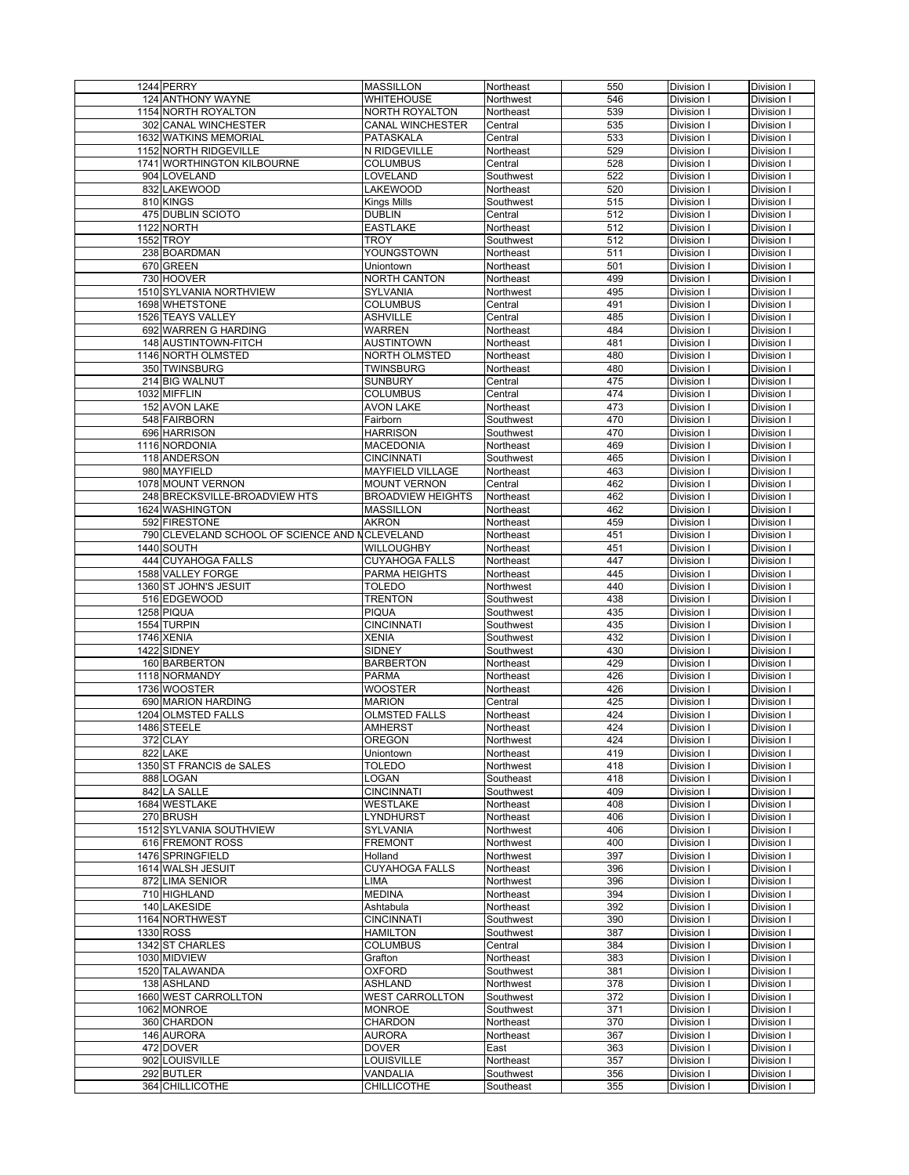| 1244 PERRY                                     | <b>MASSILLON</b>         | Northeast | 550 | Division I | Division I |
|------------------------------------------------|--------------------------|-----------|-----|------------|------------|
| 124 ANTHONY WAYNE                              | <b>WHITEHOUSE</b>        | Northwest | 546 | Division I | Division I |
| 1154 NORTH ROYALTON                            | NORTH ROYALTON           | Northeast | 539 | Division I | Division I |
|                                                |                          |           |     |            |            |
| <b>302 CANAL WINCHESTER</b>                    | <b>CANAL WINCHESTER</b>  | Central   | 535 | Division I | Division I |
| <b>1632 WATKINS MEMORIAL</b>                   | <b>PATASKALA</b>         | Central   | 533 | Division I | Division I |
| 1152 NORTH RIDGEVILLE                          | N RIDGEVILLE             | Northeast | 529 | Division I | Division I |
| 1741 WORTHINGTON KILBOURNE                     | <b>COLUMBUS</b>          | Central   | 528 | Division I | Division I |
| 904 LOVELAND                                   | LOVELAND                 | Southwest | 522 | Division I | Division I |
| 832 LAKEWOOD                                   | <b>LAKEWOOD</b>          | Northeast | 520 | Division I | Division I |
|                                                |                          |           |     |            |            |
| 810 KINGS                                      | <b>Kings Mills</b>       | Southwest | 515 | Division I | Division I |
| 475 DUBLIN SCIOTO                              | <b>DUBLIN</b>            | Central   | 512 | Division I | Division I |
| 1122 NORTH                                     | <b>EASTLAKE</b>          | Northeast | 512 | Division I | Division I |
| 1552 TROY                                      | TROY                     | Southwest | 512 | Division I | Division I |
| 238 BOARDMAN                                   | YOUNGSTOWN               | Northeast | 511 | Division I | Division I |
| 670 GREEN                                      | Uniontown                | Northeast | 501 | Division I | Division I |
|                                                |                          |           |     |            |            |
| 730 HOOVER                                     | <b>NORTH CANTON</b>      | Northeast | 499 | Division I | Division I |
| 1510 SYLVANIA NORTHVIEW                        | SYLVANIA                 | Northwest | 495 | Division I | Division I |
| 1698 WHETSTONE                                 | <b>COLUMBUS</b>          | Central   | 491 | Division I | Division I |
| 1526 TEAYS VALLEY                              | <b>ASHVILLE</b>          | Central   | 485 | Division I | Division I |
| 692 WARREN G HARDING                           | <b>WARREN</b>            | Northeast | 484 | Division I | Division I |
| 148 AUSTINTOWN-FITCH                           | <b>AUSTINTOWN</b>        | Northeast | 481 | Division I | Division I |
|                                                |                          |           |     |            |            |
| 1146 NORTH OLMSTED                             | NORTH OLMSTED            | Northeast | 480 | Division I | Division I |
| 350 TWINSBURG                                  | <b>TWINSBURG</b>         | Northeast | 480 | Division I | Division I |
| 214 BIG WALNUT                                 | <b>SUNBURY</b>           | Central   | 475 | Division I | Division I |
| 1032 MIFFLIN                                   | <b>COLUMBUS</b>          | Central   | 474 | Division I | Division I |
| 152 AVON LAKE                                  | <b>AVON LAKE</b>         | Northeast | 473 | Division I | Division I |
| 548 FAIRBORN                                   | Fairborn                 | Southwest | 470 | Division I | Division I |
|                                                |                          |           |     |            |            |
| 696 HARRISON                                   | <b>HARRISON</b>          | Southwest | 470 | Division I | Division I |
| 1116 NORDONIA                                  | <b>MACEDONIA</b>         | Northeast | 469 | Division I | Division I |
| 118 ANDERSON                                   | <b>CINCINNATI</b>        | Southwest | 465 | Division I | Division I |
| 980 MAYFIELD                                   | <b>MAYFIELD VILLAGE</b>  | Northeast | 463 | Division I | Division I |
| 1078 MOUNT VERNON                              | <b>MOUNT VERNON</b>      | Central   | 462 | Division I | Division I |
| 248 BRECKSVILLE-BROADVIEW HTS                  |                          |           |     |            |            |
|                                                | <b>BROADVIEW HEIGHTS</b> | Northeast | 462 | Division I | Division I |
| 1624 WASHINGTON                                | <b>MASSILLON</b>         | Northeast | 462 | Division I | Division I |
| 592 FIRESTONE                                  | <b>AKRON</b>             | Northeast | 459 | Division I | Division I |
| 790 CLEVELAND SCHOOL OF SCIENCE AND NCLEVELAND |                          | Northeast | 451 | Division I | Division I |
| $\overline{14}40$ SOUTH                        | <b>WILLOUGHBY</b>        | Northeast | 451 | Division I | Division I |
| 444 CUYAHOGA FALLS                             | <b>CUYAHOGA FALLS</b>    | Northeast | 447 | Division I | Division I |
| 1588 VALLEY FORGE                              | PARMA HEIGHTS            |           | 445 |            |            |
|                                                |                          | Northeast |     | Division I | Division I |
| 1360 ST JOHN'S JESUIT                          | <b>TOLEDO</b>            | Northwest | 440 | Division I | Division I |
| 516 EDGEWOOD                                   | <b>TRENTON</b>           | Southwest | 438 | Division I | Division I |
| 1258 PIQUA                                     | <b>PIQUA</b>             | Southwest | 435 | Division I | Division I |
| 1554 TURPIN                                    | <b>CINCINNATI</b>        | Southwest | 435 | Division I | Division I |
| 1746 XENIA                                     | <b>XENIA</b>             | Southwest | 432 | Division I | Division I |
| 1422 SIDNEY                                    | <b>SIDNEY</b>            | Southwest | 430 | Division I | Division I |
|                                                |                          |           |     |            |            |
| 160 BARBERTON                                  | <b>BARBERTON</b>         | Northeast | 429 | Division I | Division I |
| 1118 NORMANDY                                  | <b>PARMA</b>             | Northeast | 426 | Division I | Division I |
| 1736 WOOSTER                                   | <b>WOOSTER</b>           | Northeast | 426 | Division I | Division I |
| 690 MARION HARDING                             | <b>MARION</b>            | Central   | 425 | Division I | Division I |
| 1204 OLMSTED FALLS                             | <b>OLMSTED FALLS</b>     | Northeast | 424 | Division I | Division I |
| 1486 STEELE                                    |                          | Northeast |     |            |            |
|                                                | <b>AMHERST</b>           |           | 424 | Division I | Division I |
| $\overline{37}$ <sub>2</sub> CLAY              | <b>OREGON</b>            | Northwest | 424 | Division I | Division I |
| 822 LAKE                                       | Uniontown                | Northeast | 419 | Division I | Division I |
| 1350 ST FRANCIS de SALES                       | <b>TOLEDO</b>            | Northwest | 418 | Division I | Division I |
| 888 LOGAN                                      | LOGAN                    | Southeast | 418 | Division I | Division I |
| 842 LA SALLE                                   | <b>CINCINNATI</b>        | Southwest | 409 | Division I | Division I |
| 1684 WESTLAKE                                  | <b>WESTLAKE</b>          | Northeast | 408 | Division I | Division I |
|                                                |                          |           |     |            |            |
| 270 BRUSH                                      | LYNDHURST                | Northeast | 406 | Division I | Division I |
| 1512 SYLVANIA SOUTHVIEW                        | <b>SYLVANIA</b>          | Northwest | 406 | Division I | Division I |
| 616 FREMONT ROSS                               | <b>FREMONT</b>           | Northwest | 400 | Division I | Division I |
| 1476 SPRINGFIELD                               | Holland                  | Northwest | 397 | Division I | Division I |
| 1614 WALSH JESUIT                              | <b>CUYAHOGA FALLS</b>    | Northeast | 396 | Division I | Division I |
|                                                |                          |           |     |            |            |
|                                                |                          |           |     |            |            |
| 872 LIMA SENIOR                                | LIMA                     | Northwest | 396 | Division I | Division I |
| 710 HIGHLAND                                   | <b>MEDINA</b>            | Northeast | 394 | Division I | Division I |
| 140 LAKESIDE                                   | Ashtabula                | Northeast | 392 | Division I | Division I |
| 1164 NORTHWEST                                 | <b>CINCINNATI</b>        | Southwest | 390 | Division I | Division I |
| 1330 ROSS                                      | <b>HAMILTON</b>          | Southwest | 387 | Division I | Division I |
|                                                |                          |           |     |            |            |
| 1342 ST CHARLES                                | <b>COLUMBUS</b>          | Central   | 384 | Division I | Division I |
| 1030 MIDVIEW                                   | Grafton                  | Northeast | 383 | Division I | Division I |
| 1520 TALAWANDA                                 | <b>OXFORD</b>            | Southwest | 381 | Division I | Division I |
| 138 ASHLAND                                    | <b>ASHLAND</b>           | Northwest | 378 | Division I | Division I |
| 1660 WEST CARROLLTON                           | <b>WEST CARROLLTON</b>   | Southwest | 372 | Division I | Division I |
|                                                |                          |           |     |            |            |
| 1062 MONROE                                    | <b>MONROE</b>            | Southwest | 371 | Division I | Division I |
| 360 CHARDON                                    | CHARDON                  | Northeast | 370 | Division I | Division I |
| 146 AURORA                                     | <b>AURORA</b>            | Northeast | 367 | Division I | Division I |
| 472 DOVER                                      | <b>DOVER</b>             | East      | 363 | Division I | Division I |
| 902 LOUISVILLE                                 | <b>LOUISVILLE</b>        | Northeast | 357 | Division I | Division I |
| 292 BUTLER                                     | VANDALIA                 | Southwest | 356 | Division I | Division I |
| 364 CHILLICOTHE                                | CHILLICOTHE              | Southeast | 355 | Division I | Division I |